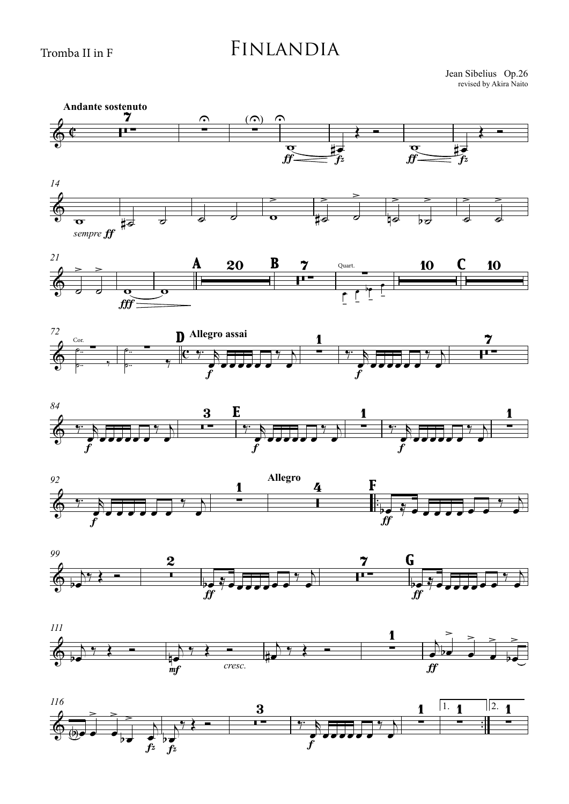## FINLANDIA

Jean Sibelius Op.26 revised by Akira Naito

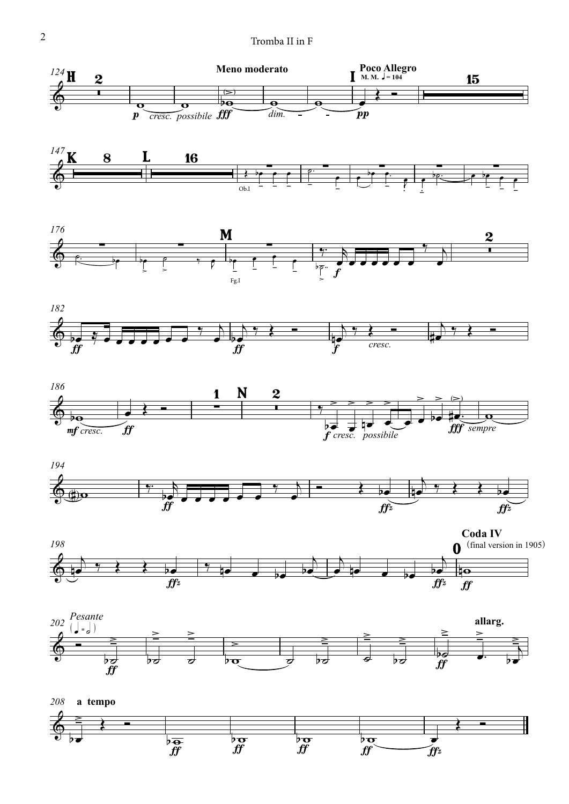